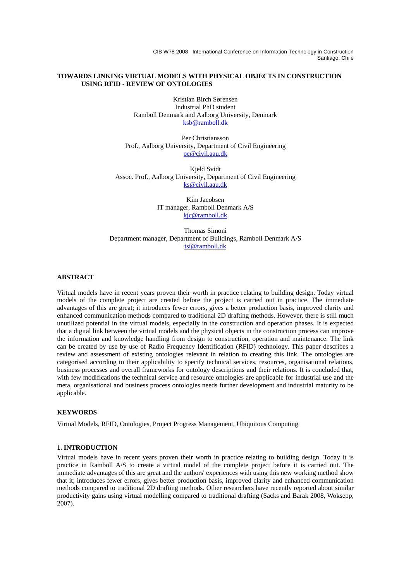CIB W78 2008 International Conference on Information Technology in Construction Santiago, Chile

#### **TOWARDS LINKING VIRTUAL MODELS WITH PHYSICAL OBJECTS IN CONSTRUCTION USING RFID - REVIEW OF ONTOLOGIES**

Kristian Birch Sørensen Industrial PhD student Ramboll Denmark and Aalborg University, Denmark ksb@ramboll.dk

Per Christiansson Prof., Aalborg University, Department of Civil Engineering pc@civil.aau.dk

Kjeld Svidt Assoc. Prof., Aalborg University, Department of Civil Engineering ks@civil.aau.dk

> Kim Jacobsen IT manager, Ramboll Denmark A/S kjc@ramboll.dk

Thomas Simoni Department manager, Department of Buildings, Ramboll Denmark A/S tsi@ramboll.dk

## **ABSTRACT**

Virtual models have in recent years proven their worth in practice relating to building design. Today virtual models of the complete project are created before the project is carried out in practice. The immediate advantages of this are great; it introduces fewer errors, gives a better production basis, improved clarity and enhanced communication methods compared to traditional 2D drafting methods. However, there is still much unutilized potential in the virtual models, especially in the construction and operation phases. It is expected that a digital link between the virtual models and the physical objects in the construction process can improve the information and knowledge handling from design to construction, operation and maintenance. The link can be created by use by use of Radio Frequency Identification (RFID) technology. This paper describes a review and assessment of existing ontologies relevant in relation to creating this link. The ontologies are categorised according to their applicability to specify technical services, resources, organisational relations, business processes and overall frameworks for ontology descriptions and their relations. It is concluded that, with few modifications the technical service and resource ontologies are applicable for industrial use and the meta, organisational and business process ontologies needs further development and industrial maturity to be applicable.

## **KEYWORDS**

Virtual Models, RFID, Ontologies, Project Progress Management, Ubiquitous Computing

#### **1. INTRODUCTION**

Virtual models have in recent years proven their worth in practice relating to building design. Today it is practice in Ramboll A/S to create a virtual model of the complete project before it is carried out. The immediate advantages of this are great and the authors' experiences with using this new working method show that it; introduces fewer errors, gives better production basis, improved clarity and enhanced communication methods compared to traditional 2D drafting methods. Other researchers have recently reported about similar productivity gains using virtual modelling compared to traditional drafting (Sacks and Barak 2008, Woksepp, 2007).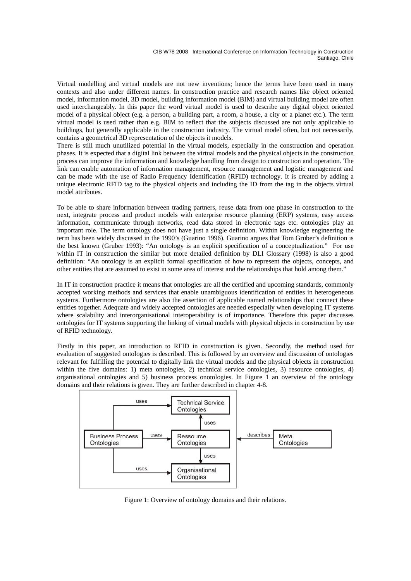Virtual modelling and virtual models are not new inventions; hence the terms have been used in many contexts and also under different names. In construction practice and research names like object oriented model, information model, 3D model, building information model (BIM) and virtual building model are often used interchangeably. In this paper the word virtual model is used to describe any digital object oriented model of a physical object (e.g. a person, a building part, a room, a house, a city or a planet etc.). The term virtual model is used rather than e.g. BIM to reflect that the subjects discussed are not only applicable to buildings, but generally applicable in the construction industry. The virtual model often, but not necessarily, contains a geometrical 3D representation of the objects it models.

There is still much unutilized potential in the virtual models, especially in the construction and operation phases. It is expected that a digital link between the virtual models and the physical objects in the construction process can improve the information and knowledge handling from design to construction and operation. The link can enable automation of information management, resource management and logistic management and can be made with the use of Radio Frequency Identification (RFID) technology. It is created by adding a unique electronic RFID tag to the physical objects and including the ID from the tag in the objects virtual model attributes.

To be able to share information between trading partners, reuse data from one phase in construction to the next, integrate process and product models with enterprise resource planning (ERP) systems, easy access information, communicate through networks, read data stored in electronic tags etc. ontologies play an important role. The term ontology does not have just a single definition. Within knowledge engineering the term has been widely discussed in the 1990's (Guarino 1996). Guarino argues that Tom Gruber's definition is the best known (Gruber 1993): "An ontology is an explicit specification of a conceptualization." For use within IT in construction the similar but more detailed definition by DLI Glossary (1998) is also a good definition: "An ontology is an explicit formal specification of how to represent the objects, concepts, and other entities that are assumed to exist in some area of interest and the relationships that hold among them."

In IT in construction practice it means that ontologies are all the certified and upcoming standards, commonly accepted working methods and services that enable unambiguous identification of entities in heterogeneous systems. Furthermore ontologies are also the assertion of applicable named relationships that connect these entities together. Adequate and widely accepted ontologies are needed especially when developing IT systems where scalability and interorganisational interoperability is of importance. Therefore this paper discusses ontologies for IT systems supporting the linking of virtual models with physical objects in construction by use of RFID technology.

Firstly in this paper, an introduction to RFID in construction is given. Secondly, the method used for evaluation of suggested ontologies is described. This is followed by an overview and discussion of ontologies relevant for fulfilling the potential to digitally link the virtual models and the physical objects in construction within the five domains: 1) meta ontologies, 2) technical service ontologies, 3) resource ontologies, 4) organisational ontologies and 5) business process onotologies. In Figure 1 an overview of the ontology domains and their relations is given. They are further described in chapter 4-8.



Figure 1: Overview of ontology domains and their relations.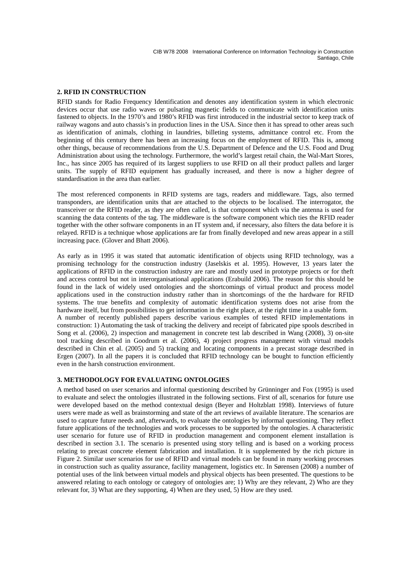## **2. RFID IN CONSTRUCTION**

RFID stands for Radio Frequency Identification and denotes any identification system in which electronic devices occur that use radio waves or pulsating magnetic fields to communicate with identification units fastened to objects. In the 1970's and 1980's RFID was first introduced in the industrial sector to keep track of railway wagons and auto chassis's in production lines in the USA. Since then it has spread to other areas such as identification of animals, clothing in laundries, billeting systems, admittance control etc. From the beginning of this century there has been an increasing focus on the employment of RFID. This is, among other things, because of recommendations from the U.S. Department of Defence and the U.S. Food and Drug Administration about using the technology. Furthermore, the world's largest retail chain, the Wal-Mart Stores, Inc., has since 2005 has required of its largest suppliers to use RFID on all their product pallets and larger units. The supply of RFID equipment has gradually increased, and there is now a higher degree of standardisation in the area than earlier.

The most referenced components in RFID systems are tags, readers and middleware. Tags, also termed transponders, are identification units that are attached to the objects to be localised. The interrogator, the transceiver or the RFID reader, as they are often called, is that component which via the antenna is used for scanning the data contents of the tag. The middleware is the software component which ties the RFID reader together with the other software components in an IT system and, if necessary, also filters the data before it is relayed. RFID is a technique whose applications are far from finally developed and new areas appear in a still increasing pace. (Glover and Bhatt 2006).

As early as in 1995 it was stated that automatic identification of objects using RFID technology, was a promising technology for the construction industry (Jaselskis et al. 1995). However, 13 years later the applications of RFID in the construction industry are rare and mostly used in prototype projects or for theft and access control but not in interorganisational applications (Erabuild 2006). The reason for this should be found in the lack of widely used ontologies and the shortcomings of virtual product and process model applications used in the construction industry rather than in shortcomings of the the hardware for RFID systems. The true benefits and complexity of automatic identification systems does not arise from the hardware itself, but from possibilities to get information in the right place, at the right time in a usable form. A number of recently published papers describe various examples of tested RFID implementations in construction: 1) Automating the task of tracking the delivery and receipt of fabricated pipe spools described in Song et al. (2006), 2) inspection and management in concrete test lab described in Wang (2008), 3) on-site tool tracking described in Goodrum et al. (2006), 4) project progress management with virtual models described in Chin et al. (2005) and 5) tracking and locating components in a precast storage described in Ergen (2007). In all the papers it is concluded that RFID technology can be bought to function efficiently even in the harsh construction environment.

#### **3. METHODOLOGY FOR EVALUATING ONTOLOGIES**

A method based on user scenarios and informal questioning described by Grünninger and Fox (1995) is used to evaluate and select the ontologies illustrated in the following sections. First of all, scenarios for future use were developed based on the method contextual design (Beyer and Holtzblatt 1998). Interviews of future users were made as well as brainstorming and state of the art reviews of available literature. The scenarios are used to capture future needs and, afterwards, to evaluate the ontologies by informal questioning. They reflect future applications of the technologies and work processes to be supported by the ontologies. A characteristic user scenario for future use of RFID in production management and component element installation is described in section 3.1. The scenario is presented using story telling and is based on a working process relating to precast concrete element fabrication and installation. It is supplemented by the rich picture in Figure 2. Similar user scenarios for use of RFID and virtual models can be found in many working processes in construction such as quality assurance, facility management, logistics etc. In Sørensen (2008) a number of potential uses of the link between virtual models and physical objects has been presented. The questions to be answered relating to each ontology or category of ontologies are; 1) Why are they relevant, 2) Who are they relevant for, 3) What are they supporting, 4) When are they used, 5) How are they used.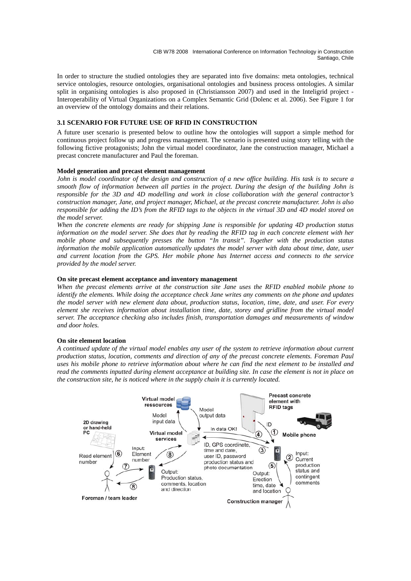In order to structure the studied ontologies they are separated into five domains: meta ontologies, technical service ontologies, resource ontologies, organisational ontologies and business process ontologies. A similar split in organising ontologies is also proposed in (Christiansson 2007) and used in the Inteligrid project - Interoperability of Virtual Organizations on a Complex Semantic Grid (Dolenc et al. 2006). See Figure 1 for an overview of the ontology domains and their relations.

# **3.1 SCENARIO FOR FUTURE USE OF RFID IN CONSTRUCTION**

A future user scenario is presented below to outline how the ontologies will support a simple method for continuous project follow up and progress management. The scenario is presented using story telling with the following fictive protagonists; John the virtual model coordinator, Jane the construction manager, Michael a precast concrete manufacturer and Paul the foreman.

#### **Model generation and precast element management**

*John is model coordinator of the design and construction of a new office building. His task is to secure a smooth flow of information between all parties in the project. During the design of the building John is responsible for the 3D and 4D modelling and work in close collaboration with the general contractor's construction manager, Jane, and project manager, Michael, at the precast concrete manufacturer. John is also responsible for adding the ID's from the RFID tags to the objects in the virtual 3D and 4D model stored on the model server.* 

*When the concrete elements are ready for shipping Jane is responsible for updating 4D production status information on the model server. She does that by reading the RFID tag in each concrete element with her mobile phone and subsequently presses the button "In transit". Together with the production status information the mobile application automatically updates the model server with data about time, date, user and current location from the GPS. Her mobile phone has Internet access and connects to the service provided by the model server.* 

## **On site precast element acceptance and inventory management**

*When the precast elements arrive at the construction site Jane uses the RFID enabled mobile phone to identify the elements. While doing the acceptance check Jane writes any comments on the phone and updates the model server with new element data about, production status, location, time, date, and user. For every element she receives information about installation time, date, storey and gridline from the virtual model server. The acceptance checking also includes finish, transportation damages and measurements of window and door holes.* 

#### **On site element location**

*A continued update of the virtual model enables any user of the system to retrieve information about current production status, location, comments and direction of any of the precast concrete elements. Foreman Paul uses his mobile phone to retrieve information about where he can find the next element to be installed and read the comments inputted during element acceptance at building site. In case the element is not in place on the construction site, he is noticed where in the supply chain it is currently located.* 

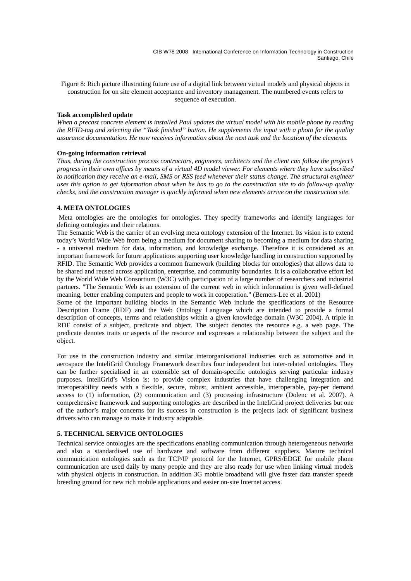Figure 8: Rich picture illustrating future use of a digital link between virtual models and physical objects in construction for on site element acceptance and inventory management. The numbered events refers to sequence of execution.

#### **Task accomplished update**

*When a precast concrete element is installed Paul updates the virtual model with his mobile phone by reading the RFID-tag and selecting the "Task finished" button. He supplements the input with a photo for the quality assurance documentation. He now receives information about the next task and the location of the elements.*

## **On-going information retrieval**

*Thus, during the construction process contractors, engineers, architects and the client can follow the project's progress in their own offices by means of a virtual 4D model viewer. For elements where they have subscribed to notification they receive an e-mail, SMS or RSS feed whenever their status change. The structural engineer uses this option to get information about when he has to go to the construction site to do follow-up quality checks, and the construction manager is quickly informed when new elements arrive on the construction site.*

## **4. META ONTOLOGIES**

 Meta ontologies are the ontologies for ontologies. They specify frameworks and identify languages for defining ontologies and their relations.

The Semantic Web is the carrier of an evolving meta ontology extension of the Internet. Its vision is to extend today's World Wide Web from being a medium for document sharing to becoming a medium for data sharing - a universal medium for data, information, and knowledge exchange. Therefore it is considered as an important framework for future applications supporting user knowledge handling in construction supported by RFID. The Semantic Web provides a common framework (building blocks for ontologies) that allows data to be shared and reused across application, enterprise, and community boundaries. It is a collaborative effort led by the World Wide Web Consortium (W3C) with participation of a large number of researchers and industrial partners. "The Semantic Web is an extension of the current web in which information is given well-defined meaning, better enabling computers and people to work in cooperation." (Berners-Lee et al. 2001)

Some of the important building blocks in the Semantic Web include the specifications of the Resource Description Frame (RDF) and the Web Ontology Language which are intended to provide a formal description of concepts, terms and relationships within a given knowledge domain (W3C 2004). A triple in RDF consist of a subject, predicate and object. The subject denotes the resource e.g. a web page. The predicate denotes traits or aspects of the resource and expresses a relationship between the subject and the object.

For use in the construction industry and similar interorganisational industries such as automotive and in aerospace the InteliGrid Ontology Framework describes four independent but inter-related ontologies. They can be further specialised in an extensible set of domain-specific ontologies serving particular industry purposes. InteliGrid's Vision is: to provide complex industries that have challenging integration and interoperability needs with a flexible, secure, robust, ambient accessible, interoperable, pay-per demand access to (1) information, (2) communication and (3) processing infrastructure (Dolenc et al. 2007). A comprehensive framework and supporting ontologies are described in the InteliGrid project deliveries but one of the author's major concerns for its success in construction is the projects lack of significant business drivers who can manage to make it industry adaptable.

# **5. TECHNICAL SERVICE ONTOLOGIES**

Technical service ontologies are the specifications enabling communication through heterogeneous networks and also a standardised use of hardware and software from different suppliers. Mature technical communication ontologies such as the TCP/IP protocol for the Internet, GPRS/EDGE for mobile phone communication are used daily by many people and they are also ready for use when linking virtual models with physical objects in construction. In addition 3G mobile broadband will give faster data transfer speeds breeding ground for new rich mobile applications and easier on-site Internet access.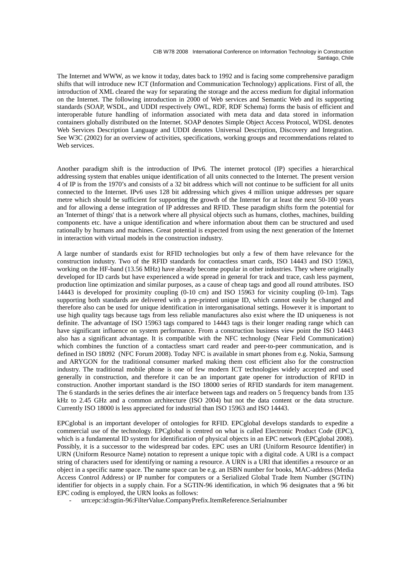#### CIB W78 2008 International Conference on Information Technology in Construction Santiago, Chile

The Internet and WWW, as we know it today, dates back to 1992 and is facing some comprehensive paradigm shifts that will introduce new ICT (Information and Communication Technology) applications. First of all, the introduction of XML cleared the way for separating the storage and the access medium for digital information on the Internet. The following introduction in 2000 of Web services and Semantic Web and its supporting standards (SOAP, WSDL, and UDDI respectively OWL, RDF, RDF Schema) forms the basis of efficient and interoperable future handling of information associated with meta data and data stored in information containers globally distributed on the Internet. SOAP denotes Simple Object Access Protocol, WDSL denotes Web Services Description Language and UDDI denotes Universal Description, Discovery and Integration. See W3C (2002) for an overview of activities, specifications, working groups and recommendations related to Web services.

Another paradigm shift is the introduction of IPv6. The internet protocol (IP) specifies a hierarchical addressing system that enables unique identification of all units connected to the Internet. The present version 4 of IP is from the 1970's and consists of a 32 bit address which will not continue to be sufficient for all units connected to the Internet. IPv6 uses 128 bit addressing which gives 4 million unique addresses per square metre which should be sufficient for supporting the growth of the Internet for at least the next 50-100 years and for allowing a dense integration of IP addresses and RFID. These paradigm shifts form the potential for an 'Internet of things' that is a network where all physical objects such as humans, clothes, machines, building components etc. have a unique identification and where information about them can be structured and used rationally by humans and machines. Great potential is expected from using the next generation of the Internet in interaction with virtual models in the construction industry.

A large number of standards exist for RFID technologies but only a few of them have relevance for the construction industry. Two of the RFID standards for contactless smart cards, ISO 14443 and ISO 15963, working on the HF-band (13.56 MHz) have already become popular in other industries. They where originally developed for ID cards but have experienced a wide spread in general for track and trace, cash less payment, production line optimization and similar purposes, as a cause of cheap tags and good all round attributes. ISO 14443 is developed for proximity coupling (0-10 cm) and ISO 15963 for vicinity coupling (0-1m). Tags supporting both standards are delivered with a pre-printed unique ID, which cannot easily be changed and therefore also can be used for unique identification in interorganisational settings. However it is important to use high quality tags because tags from less reliable manufactures also exist where the ID uniqueness is not definite. The advantage of ISO 15963 tags compared to 14443 tags is their longer reading range which can have significant influence on system performance. From a construction business view point the ISO 14443 also has a significant advantage. It is compatible with the NFC technology (Near Field Communication) which combines the function of a contactless smart card reader and peer-to-peer communication, and is defined in ISO 18092 (NFC Forum 2008). Today NFC is available in smart phones from e.g. Nokia, Samsung and ARYGON for the traditional consumer marked making them cost efficient also for the construction industry. The traditional mobile phone is one of few modern ICT technologies widely accepted and used generally in construction, and therefore it can be an important gate opener for introduction of RFID in construction. Another important standard is the ISO 18000 series of RFID standards for item management. The 6 standards in the series defines the air interface between tags and readers on 5 frequency bands from 135 kHz to 2.45 GHz and a common architecture (ISO 2004) but not the data content or the data structure. Currently ISO 18000 is less appreciated for industrial than ISO 15963 and ISO 14443.

EPCglobal is an important developer of ontologies for RFID. EPCglobal develops standards to expedite a commercial use of the technology. EPCglobal is centred on what is called Electronic Product Code (EPC), which is a fundamental ID system for identification of physical objects in an EPC network (EPCglobal 2008). Possibly, it is a successor to the widespread bar codes. EPC uses an URI (Uniform Resource Identifier) in URN (Uniform Resource Name) notation to represent a unique topic with a digital code. A URI is a compact string of characters used for identifying or naming a resource. A URN is a URI that identifies a resource or an object in a specific name space. The name space can be e.g. an ISBN number for books, MAC-address (Media Access Control Address) or IP number for computers or a Serialized Global Trade Item Number (SGTIN) identifier for objects in a supply chain. For a SGTIN-96 identification, in which 96 designates that a 96 bit EPC coding is employed, the URN looks as follows:

urn:epc:id:sgtin-96:FilterValue.CompanyPrefix.ItemReference.Serialnumber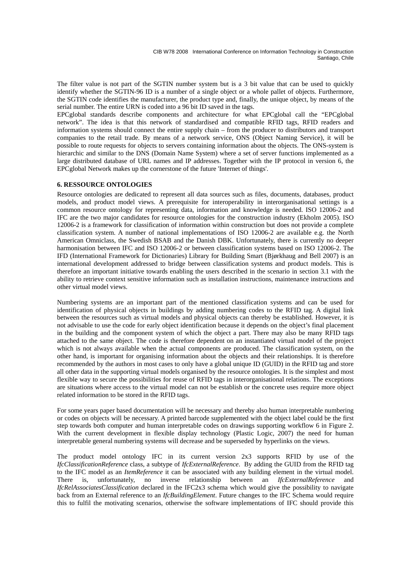The filter value is not part of the SGTIN number system but is a 3 bit value that can be used to quickly identify whether the SGTIN-96 ID is a number of a single object or a whole pallet of objects. Furthermore, the SGTIN code identifies the manufacturer, the product type and, finally, the unique object, by means of the serial number. The entire URN is coded into a 96 bit ID saved in the tags.

EPCglobal standards describe components and architecture for what EPCglobal call the "EPCglobal network". The idea is that this network of standardised and compatible RFID tags, RFID readers and information systems should connect the entire supply chain – from the producer to distributors and transport companies to the retail trade. By means of a network service, ONS (Object Naming Service), it will be possible to route requests for objects to servers containing information about the objects. The ONS-system is hierarchic and similar to the DNS (Domain Name System) where a set of server functions implemented as a large distributed database of URL names and IP addresses. Together with the IP protocol in version 6, the EPCglobal Network makes up the cornerstone of the future 'Internet of things'.

# **6. RESSOURCE ONTOLOGIES**

Resource ontologies are dedicated to represent all data sources such as files, documents, databases, product models, and product model views. A prerequisite for interoperability in interorganisational settings is a common resource ontology for representing data, information and knowledge is needed. ISO 12006-2 and IFC are the two major candidates for resource ontologies for the construction industry (Ekholm 2005). ISO 12006-2 is a framework for classification of information within construction but does not provide a complete classification system. A number of national implementations of ISO 12006-2 are available e.g. the North American Omniclass, the Swedish BSAB and the Danish DBK. Unfortunately, there is currently no deeper harmonisation between IFC and ISO 12006-2 or between classification systems based on ISO 12006-2. The IFD (International Framework for Dictionaries) Library for Building Smart (Bjørkhaug and Bell 2007) is an international development addressed to bridge between classification systems and product models. This is therefore an important initiative towards enabling the users described in the scenario in section 3.1 with the ability to retrieve context sensitive information such as installation instructions, maintenance instructions and other virtual model views.

Numbering systems are an important part of the mentioned classification systems and can be used for identification of physical objects in buildings by adding numbering codes to the RFID tag. A digital link between the resources such as virtual models and physical objects can thereby be established. However, it is not advisable to use the code for early object identification because it depends on the object's final placement in the building and the component system of which the object a part. There may also be many RFID tags attached to the same object. The code is therefore dependent on an instantiated virtual model of the project which is not always available when the actual components are produced. The classification system, on the other hand, is important for organising information about the objects and their relationships. It is therefore recommended by the authors in most cases to only have a global unique ID (GUID) in the RFID tag and store all other data in the supporting virtual models organised by the resource ontologies. It is the simplest and most flexible way to secure the possibilities for reuse of RFID tags in interorganisational relations. The exceptions are situations where access to the virtual model can not be establish or the concrete uses require more object related information to be stored in the RFID tags.

For some years paper based documentation will be necessary and thereby also human interpretable numbering or codes on objects will be necessary. A printed barcode supplemented with the object label could be the first step towards both computer and human interpretable codes on drawings supporting workflow 6 in Figure 2. With the current development in flexible display technology (Plastic Logic, 2007) the need for human interpretable general numbering systems will decrease and be superseded by hyperlinks on the views.

The product model ontology IFC in its current version 2x3 supports RFID by use of the *IfcClassificationReference* class, a subtype of *IfcExternalReference*. By adding the GUID from the RFID tag to the IFC model as an *ItemReference* it can be associated with any building element in the virtual model. There is, unfortunately, no inverse relationship between an *IfcExternalReference* and *IfcRelAssociatesClassification* declared in the IFC2x3 schema which would give the possibility to navigate back from an External reference to an *IfcBuildingElement*. Future changes to the IFC Schema would require this to fulfil the motivating scenarios, otherwise the software implementations of IFC should provide this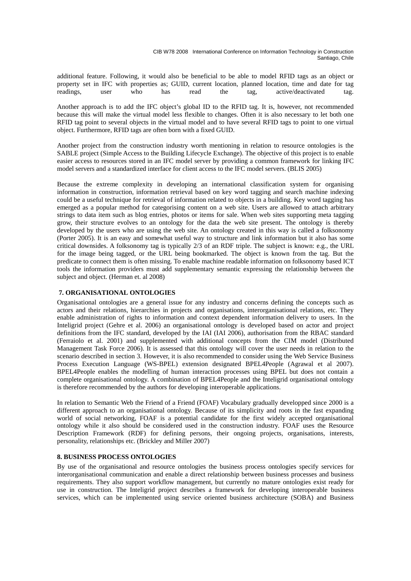additional feature. Following, it would also be beneficial to be able to model RFID tags as an object or property set in IFC with properties as; GUID, current location, planned location, time and date for tag readings, user who has read the tag, active/deactivated tag.

Another approach is to add the IFC object's global ID to the RFID tag. It is, however, not recommended because this will make the virtual model less flexible to changes. Often it is also necessary to let both one RFID tag point to several objects in the virtual model and to have several RFID tags to point to one virtual object. Furthermore, RFID tags are often born with a fixed GUID.

Another project from the construction industry worth mentioning in relation to resource ontologies is the SABLE project (Simple Access to the Building Lifecycle Exchange). The objective of this project is to enable easier access to resources stored in an IFC model server by providing a common framework for linking IFC model servers and a standardized interface for client access to the IFC model servers. (BLIS 2005)

Because the extreme complexity in developing an international classification system for organising information in construction, information retrieval based on key word tagging and search machine indexing could be a useful technique for retrieval of information related to objects in a building. Key word tagging has emerged as a popular method for categorising content on a web site. Users are allowed to attach arbitrary strings to data item such as blog entries, photos or items for sale. When web sites supporting meta tagging grow, their structure evolves to an ontology for the data the web site present. The ontology is thereby developed by the users who are using the web site. An ontology created in this way is called a folksonomy (Porter 2005). It is an easy and somewhat useful way to structure and link information but it also has some critical downsides. A folksonomy tag is typically 2/3 of an RDF triple. The subject is known: e.g., the URL for the image being tagged, or the URL being bookmarked. The object is known from the tag. But the predicate to connect them is often missing. To enable machine readable information on folksonomy based ICT tools the information providers must add supplementary semantic expressing the relationship between the subject and object. (Herman et. al 2008)

# **7. ORGANISATIONAL ONTOLOGIES**

Organisational ontologies are a general issue for any industry and concerns defining the concepts such as actors and their relations, hierarchies in projects and organisations, interorganisational relations, etc. They enable administration of rights to information and context dependent information delivery to users. In the Inteligrid project (Gehre et al. 2006) an organisational ontology is developed based on actor and project definitions from the IFC standard, developed by the IAI (IAI 2006), authorisation from the RBAC standard (Ferraiolo et al. 2001) and supplemented with additional concepts from the CIM model (Distributed Management Task Force 2006). It is assessed that this ontology will cover the user needs in relation to the scenario described in section 3. However, it is also recommended to consider using the Web Service Business Process Execution Language (WS-BPEL) extension designated BPEL4People (Agrawal et al 2007). BPEL4People enables the modelling of human interaction processes using BPEL but does not contain a complete organisational ontology. A combination of BPEL4People and the Inteligrid organisational ontology is therefore recommended by the authors for developing interoperable applications.

In relation to Semantic Web the Friend of a Friend (FOAF) Vocabulary gradually developped since 2000 is a different approach to an organisational ontology. Because of its simplicity and roots in the fast expanding world of social networking, FOAF is a potential candidate for the first widely accepted organisational ontology while it also should be considered used in the construction industry. FOAF uses the Resource Description Framework (RDF) for defining persons, their ongoing projects, organisations, interests, personality, relationships etc. (Brickley and Miller 2007)

# **8. BUSINESS PROCESS ONTOLOGIES**

By use of the organisational and resource ontologies the business process ontologies specify services for interorganisational communication and enable a direct relationship between business processes and business requirements. They also support workflow management, but currently no mature ontologies exist ready for use in construction. The Inteligrid project describes a framework for developing interoperable business services, which can be implemented using service oriented business architecture (SOBA) and Business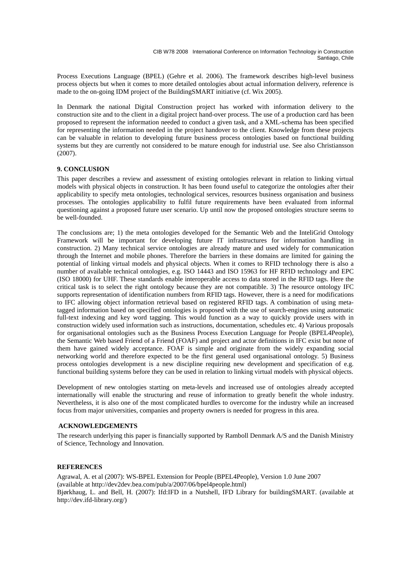Process Executions Language (BPEL) (Gehre et al. 2006). The framework describes high-level business process objects but when it comes to more detailed ontologies about actual information delivery, reference is made to the on-going IDM project of the BuildingSMART initiative (cf. Wix 2005).

In Denmark the national Digital Construction project has worked with information delivery to the construction site and to the client in a digital project hand-over process. The use of a production card has been proposed to represent the information needed to conduct a given task, and a XML-schema has been specified for representing the information needed in the project handover to the client. Knowledge from these projects can be valuable in relation to developing future business process ontologies based on functional building systems but they are currently not considered to be mature enough for industrial use. See also Christiansson (2007).

# **9. CONCLUSION**

This paper describes a review and assessment of existing ontologies relevant in relation to linking virtual models with physical objects in construction. It has been found useful to categorize the ontologies after their applicability to specify meta ontologies, technological services, resources business organisation and business processes. The ontologies applicability to fulfil future requirements have been evaluated from informal questioning against a proposed future user scenario. Up until now the proposed ontologies structure seems to be well-founded.

The conclusions are; 1) the meta ontologies developed for the Semantic Web and the InteliGrid Ontology Framework will be important for developing future IT infrastructures for information handling in construction. 2) Many technical service ontologies are already mature and used widely for communication through the Internet and mobile phones. Therefore the barriers in these domains are limited for gaining the potential of linking virtual models and physical objects. When it comes to RFID technology there is also a number of available technical ontologies, e.g. ISO 14443 and ISO 15963 for HF RFID technology and EPC (ISO 18000) for UHF. These standards enable interoperable access to data stored in the RFID tags. Here the critical task is to select the right ontology because they are not compatible. 3) The resource ontology IFC supports representation of identification numbers from RFID tags. However, there is a need for modifications to IFC allowing object information retrieval based on registered RFID tags. A combination of using metatagged information based on specified ontologies is proposed with the use of search-engines using automatic full-text indexing and key word tagging. This would function as a way to quickly provide users with in construction widely used information such as instructions, documentation, schedules etc. 4) Various proposals for organisational ontologies such as the Business Process Execution Language for People (BPEL4People), the Semantic Web based Friend of a Friend (FOAF) and project and actor definitions in IFC exist but none of them have gained widely acceptance. FOAF is simple and originate from the widely expanding social networking world and therefore expected to be the first general used organisational ontology. 5) Business process ontologies development is a new discipline requiring new development and specification of e.g. functional building systems before they can be used in relation to linking virtual models with physical objects.

Development of new ontologies starting on meta-levels and increased use of ontologies already accepted internationally will enable the structuring and reuse of information to greatly benefit the whole industry. Nevertheless, it is also one of the most complicated hurdles to overcome for the industry while an increased focus from major universities, companies and property owners is needed for progress in this area.

# **ACKNOWLEDGEMENTS**

The research underlying this paper is financially supported by Ramboll Denmark A/S and the Danish Ministry of Science, Technology and Innovation.

### **REFERENCES**

Agrawal, A. et al (2007): WS-BPEL Extension for People (BPEL4People), Version 1.0 June 2007 (available at http://dev2dev.bea.com/pub/a/2007/06/bpel4people.html) Bjørkhaug, L. and Bell, H. (2007): Ifd:IFD in a Nutshell, IFD Library for buildingSMART. (available at http://dev.ifd-library.org/)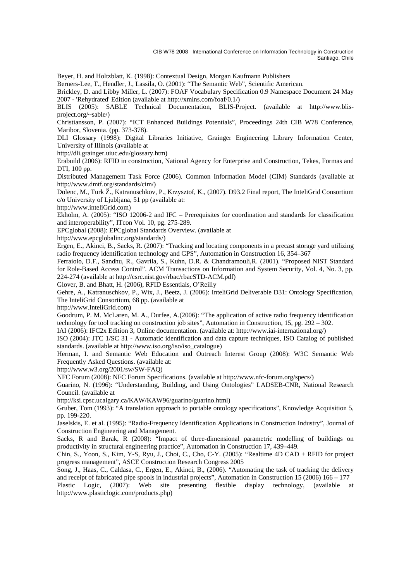CIB W78 2008 International Conference on Information Technology in Construction Santiago, Chile

Beyer, H. and Holtzblatt, K. (1998): Contextual Design, Morgan Kaufmann Publishers

Berners-Lee, T., Hendler, J., Lassila, O. (2001): "The Semantic Web", Scientific American.

Brickley, D. and Libby Miller, L. (2007): FOAF Vocabulary Specification 0.9 Namespace Document 24 May 2007 - 'Rehydrated' Edition (available at http://xmlns.com/foaf/0.1/)

BLIS (2005): SABLE Technical Documentation, BLIS-Project. (available at http://www.blisproject.org/~sable/)

Christiansson, P. (2007): "ICT Enhanced Buildings Potentials", Proceedings 24th CIB W78 Conference, Maribor, Slovenia. (pp. 373-378).

DLI Glossary (1998): Digital Libraries Initiative, Grainger Engineering Library Information Center, University of Illinois (available at

http://dli.grainger.uiuc.edu/glossary.htm)

Erabuild (2006): RFID in construction, National Agency for Enterprise and Construction, Tekes, Formas and DTI, 100 pp.

Distributed Management Task Force (2006). Common Information Model (CIM) Standards (available at http://www.dmtf.org/standards/cim/)

Dolenc, M., Turk Ž., Katranuschkov, P., Krzysztof, K., (2007). D93.2 Final report, The InteliGrid Consortium c/o University of Ljubljana, 51 pp (available at:

http://www.inteliGrid.com)

Ekholm, A. (2005): "ISO 12006-2 and IFC – Prerequisites for coordination and standards for classification and interoperability", ITcon Vol. 10, pg. 275-289.

EPCglobal (2008): EPCglobal Standards Overview. (available at

http://www.epcglobalinc.org/standards/)

Ergen, E., Akinci, B., Sacks, R. (2007): "Tracking and locating components in a precast storage yard utilizing radio frequency identification technology and GPS", Automation in Construction 16, 354–367

Ferraiolo, D.F., Sandhu, R., Gavrila, S., Kuhn, D.R. & Chandramouli,R. (2001). "Proposed NIST Standard for Role-Based Access Control". ACM Transactions on Information and System Security, Vol. 4, No. 3, pp. 224-274 (available at http://csrc.nist.gov/rbac/rbacSTD-ACM.pdf)

Glover, B. and Bhatt, H. (2006), RFID Essentials, O'Reilly

Gehre, A., Katranuschkov, P., Wix, J., Beetz, J. (2006): InteliGrid Deliverable D31: Ontology Specification, The InteliGrid Consortium, 68 pp. (available at

http://www.InteliGrid.com)

Goodrum, P. M. McLaren, M. A., Durfee, A.(2006): "The application of active radio frequency identification technology for tool tracking on construction job sites", Automation in Construction, 15, pg. 292 – 302.

IAI (2006): IFC2x Edition 3, Online documentation. (available at: http://www.iai-international.org/)

ISO (2004): JTC 1/SC 31 - Automatic identification and data capture techniques, ISO Catalog of published standards. (available at http://www.iso.org/iso/iso\_catalogue)

Herman, I. and Semantic Web Education and Outreach Interest Group (2008): W3C Semantic Web Frequently Asked Questions. (available at:

http://www.w3.org/2001/sw/SW-FAQ)

NFC Forum (2008): NFC Forum Specifications. (available at http://www.nfc-forum.org/specs/)

Guarino, N. (1996): "Understanding, Building, and Using Ontologies" LADSEB-CNR, National Research Council. (available at

http://ksi.cpsc.ucalgary.ca/KAW/KAW96/guarino/guarino.html)

Gruber, Tom (1993): "A translation approach to portable ontology specifications", Knowledge Acquisition 5, pp. 199-220.

Jaselskis, E. et al. (1995): "Radio-Frequency Identification Applications in Construction Industry", Journal of Construction Engineering and Management.

Sacks, R and Barak, R (2008): "Impact of three-dimensional parametric modelling of buildings on productivity in structural engineering practice", Automation in Construction 17, 439–449.

Chin, S., Yoon, S., Kim, Y-S, Ryu, J., Choi, C., Cho, C-Y. (2005): "Realtime 4D CAD + RFID for project progress management", ASCE Construction Research Congress 2005

Song, J., Haas, C., Caldasa, C., Ergen, E., Akinci, B., (2006). "Automating the task of tracking the delivery and receipt of fabricated pipe spools in industrial projects", Automation in Construction 15 (2006) 166 – 177

Plastic Logic, (2007): Web site presenting flexible display technology, (available at http://www.plasticlogic.com/products.php)